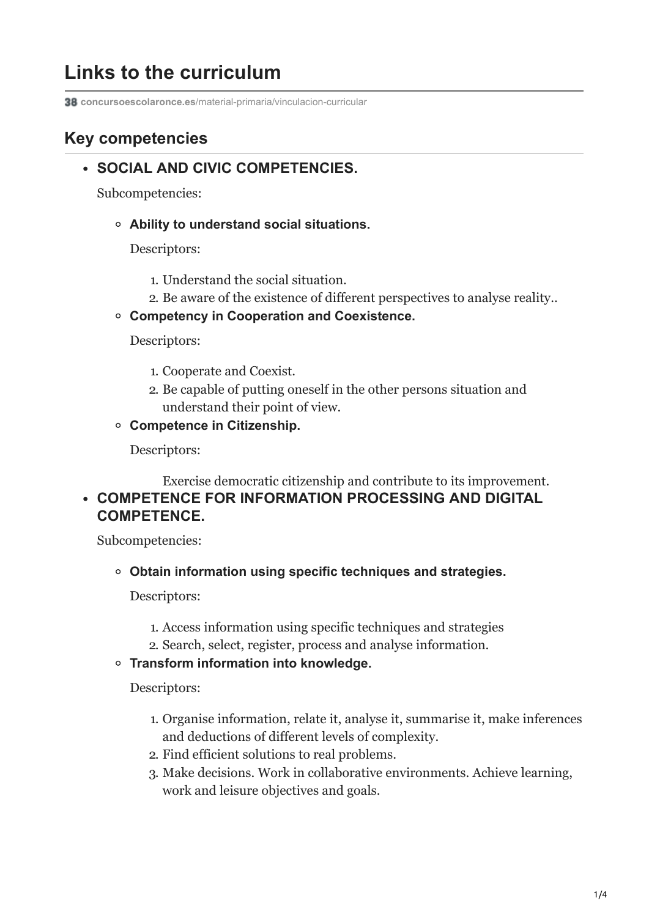# **Links to the curriculum**

**concursoescolaronce.es**[/material-primaria/vinculacion-curricular](https://www.concursoescolaronce.es/material-primaria/vinculacion-curricular/?lang=en)

# **Key competencies**

# **SOCIAL AND CIVIC COMPETENCIES.**

Subcompetencies:

**Ability to understand social situations.**

Descriptors:

- 1. Understand the social situation.
- 2. Be aware of the existence of different perspectives to analyse reality..
- **Competency in Cooperation and Coexistence.**

Descriptors:

- 1. Cooperate and Coexist.
- 2. Be capable of putting oneself in the other persons situation and understand their point of view.
- **Competence in Citizenship.**

Descriptors:

Exercise democratic citizenship and contribute to its improvement. **COMPETENCE FOR INFORMATION PROCESSING AND DIGITAL COMPETENCE.**

Subcompetencies:

**Obtain information using specific techniques and strategies.**

Descriptors:

- 1. Access information using specific techniques and strategies
- 2. Search, select, register, process and analyse information.

#### **Transform information into knowledge.**

Descriptors:

- 1. Organise information, relate it, analyse it, summarise it, make inferences and deductions of different levels of complexity.
- 2. Find efficient solutions to real problems.
- 3. Make decisions. Work in collaborative environments. Achieve learning, work and leisure objectives and goals.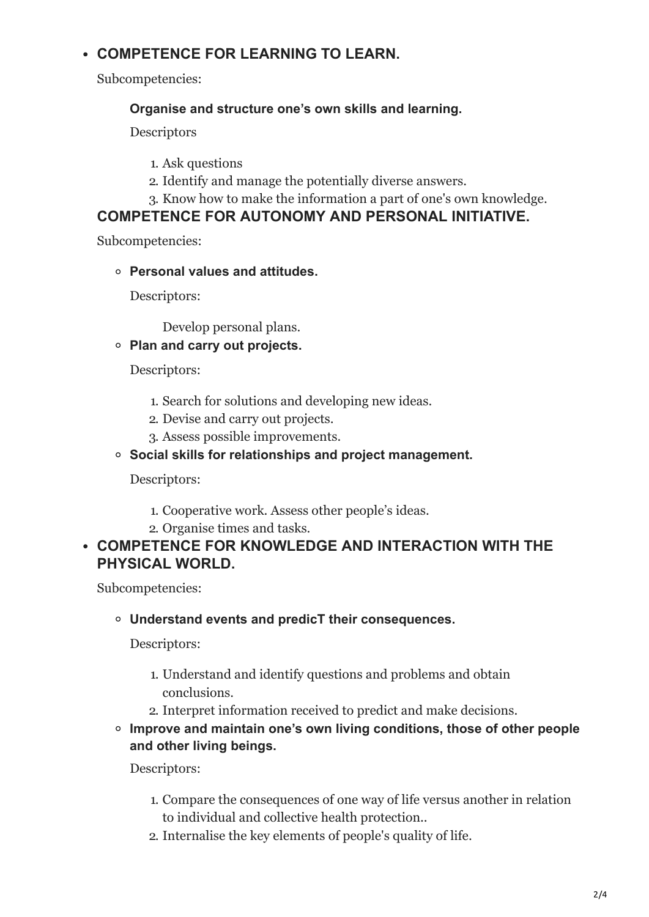# **COMPETENCE FOR LEARNING TO LEARN.**

Subcompetencies:

#### **Organise and structure one's own skills and learning.**

**Descriptors** 

- 1. Ask questions
- 2. Identify and manage the potentially diverse answers.
- 3. Know how to make the information a part of one's own knowledge.

#### **COMPETENCE FOR AUTONOMY AND PERSONAL INITIATIVE.**

Subcompetencies:

**Personal values and attitudes.**

Descriptors:

Develop personal plans.

**Plan and carry out projects.**

Descriptors:

- 1. Search for solutions and developing new ideas.
- 2. Devise and carry out projects.
- 3. Assess possible improvements.

#### **Social skills for relationships and project management.**

Descriptors:

- 1. Cooperative work. Assess other people's ideas.
- 2. Organise times and tasks.

#### **COMPETENCE FOR KNOWLEDGE AND INTERACTION WITH THE PHYSICAL WORLD.**

Subcompetencies:

#### **Understand events and predicT their consequences.**

Descriptors:

- 1. Understand and identify questions and problems and obtain conclusions.
- 2. Interpret information received to predict and make decisions.
- **Improve and maintain one's own living conditions, those of other people and other living beings.**

Descriptors:

- 1. Compare the consequences of one way of life versus another in relation to individual and collective health protection..
- 2. Internalise the key elements of people's quality of life.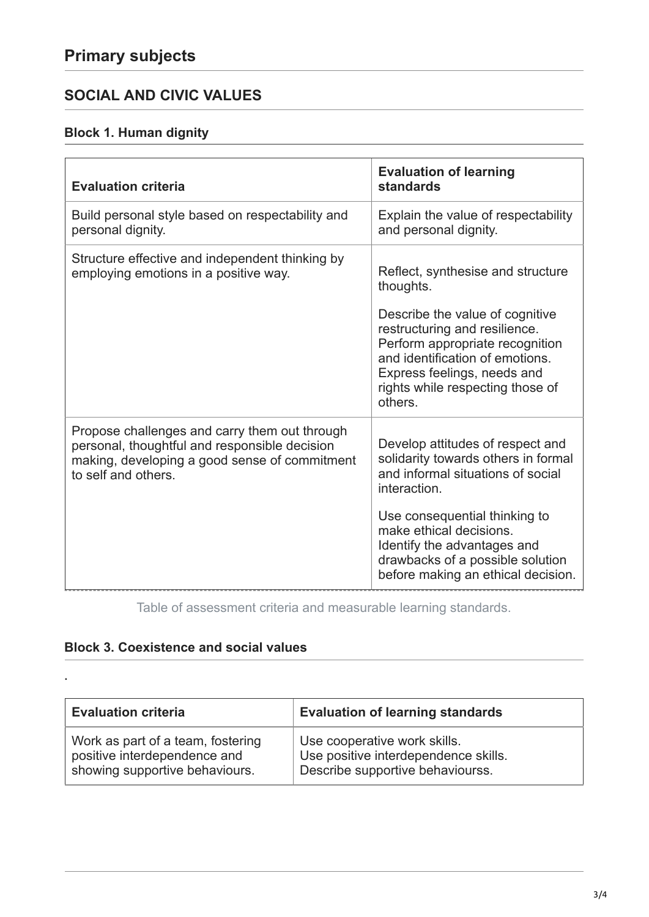# **SOCIAL AND CIVIC VALUES**

### **Block 1. Human dignity**

| <b>Evaluation criteria</b>                       | <b>Evaluation of learning</b><br>standards                                                                                                                                                                           |
|--------------------------------------------------|----------------------------------------------------------------------------------------------------------------------------------------------------------------------------------------------------------------------|
| Build personal style based on respectability and | Explain the value of respectability                                                                                                                                                                                  |
| personal dignity.                                | and personal dignity.                                                                                                                                                                                                |
| Structure effective and independent thinking by  | Reflect, synthesise and structure                                                                                                                                                                                    |
| employing emotions in a positive way.            | thoughts.                                                                                                                                                                                                            |
|                                                  | Describe the value of cognitive<br>restructuring and resilience.<br>Perform appropriate recognition<br>and identification of emotions.<br>Express feelings, needs and<br>rights while respecting those of<br>others. |
| Propose challenges and carry them out through    | Develop attitudes of respect and                                                                                                                                                                                     |
| personal, thoughtful and responsible decision    | solidarity towards others in formal                                                                                                                                                                                  |
| making, developing a good sense of commitment    | and informal situations of social                                                                                                                                                                                    |
| to self and others.                              | interaction.                                                                                                                                                                                                         |
|                                                  | Use consequential thinking to<br>make ethical decisions.<br>Identify the advantages and<br>drawbacks of a possible solution<br>before making an ethical decision.                                                    |

Table of assessment criteria and measurable learning standards.

#### **Block 3. Coexistence and social values**

.

| <b>Evaluation criteria</b>        | <b>Evaluation of learning standards</b> |
|-----------------------------------|-----------------------------------------|
| Work as part of a team, fostering | Use cooperative work skills.            |
| positive interdependence and      | Use positive interdependence skills.    |
| showing supportive behaviours.    | Describe supportive behaviourss.        |